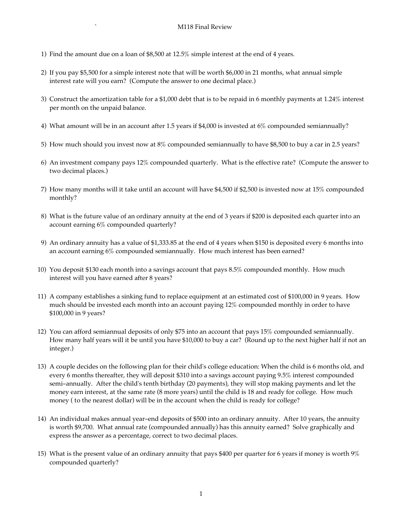- 1) Find the amount due on a loan of \$8,500 at 12.5% simple interest at the end of 4 years.
- 2) If you pay \$5,500 for a simple interest note that will be worth \$6,000 in 21 months, what annual simple interest rate will you earn? (Compute the answer to one decimal place.)
- 3) Construct the amortization table for a \$1,000 debt that is to be repaid in 6 monthly payments at 1.24% interest per month on the unpaid balance.
- 4) What amount will be in an account after 1.5 years if \$4,000 is invested at 6% compounded semiannually?
- 5) How much should you invest now at 8% compounded semiannually to have \$8,500 to buy a car in 2.5 years?
- 6) An investment company pays 12% compounded quarterly. What is the effective rate? (Compute the answer to two decimal places.)
- 7) How many months will it take until an account will have \$4,500 if \$2,500 is invested now at 15% compounded monthly?
- 8) What is the future value of an ordinary annuity at the end of 3 years if \$200 is deposited each quarter into an account earning 6% compounded quarterly?
- 9) An ordinary annuity has a value of \$1,333.85 at the end of 4 years when \$150 is deposited every 6 months into an account earning 6% compounded semiannually. How much interest has been earned?
- 10) You deposit \$130 each month into a savings account that pays 8.5% compounded monthly. How much interest will you have earned after 8 years?
- 11) A company establishes a sinking fund to replace equipment at an estimated cost of \$100,000 in 9 years. How much should be invested each month into an account paying 12% compounded monthly in order to have \$100,000 in 9 years?
- 12) You can afford semiannual deposits of only \$75 into an account that pays 15% compounded semiannually. How many half years will it be until you have \$10,000 to buy a car? (Round up to the next higher half if not an integer.)
- 13) A couple decides on the following plan for their child's college education: When the child is 6 months old, and every 6 months thereafter, they will deposit \$310 into a savings account paying 9.5% interest compounded semi-annually. After the child's tenth birthday (20 payments), they will stop making payments and let the money earn interest, at the same rate (8 more years) until the child is 18 and ready for college. How much money ( to the nearest dollar) will be in the account when the child is ready for college?
- 14) An individual makes annual year-end deposits of \$500 into an ordinary annuity. After 10 years, the annuity is worth \$9,700. What annual rate (compounded annually) has this annuity earned? Solve graphically and express the answer as a percentage, correct to two decimal places.
- 15) What is the present value of an ordinary annuity that pays \$400 per quarter for 6 years if money is worth 9% compounded quarterly?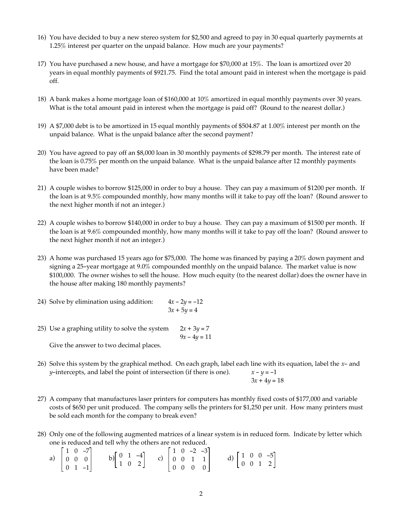- 16) You have decided to buy a new stereo system for \$2,500 and agreed to pay in 30 equal quarterly paymernts at 1.25% interest per quarter on the unpaid balance. How much are your payments?
- 17) You have purchased a new house, and have a mortgage for \$70,000 at 15%. The loan is amortized over 20 years in equal monthly payments of \$921.75. Find the total amount paid in interest when the mortgage is paid off.
- 18) A bank makes a home mortgage loan of \$160,000 at 10% amortized in equal monthly payments over 30 years. What is the total amount paid in interest when the mortgage is paid off? (Round to the nearest dollar.)
- 19) A \$7,000 debt is to be amortized in 15 equal monthly payments of \$504.87 at 1.00% interest per month on the unpaid balance. What is the unpaid balance after the second payment?
- 20) You have agreed to pay off an \$8,000 loan in 30 monthly payments of \$298.79 per month. The interest rate of the loan is 0.75% per month on the unpaid balance. What is the unpaid balance after 12 monthly payments have been made?
- 21) A couple wishes to borrow \$125,000 in order to buy a house. They can pay a maximum of \$1200 per month. If the loan is at 9.5% compounded monthly, how many months will it take to pay off the loan? (Round answer to the next higher month if not an integer.)
- 22) A couple wishes to borrow \$140,000 in order to buy a house. They can pay a maximum of \$1500 per month. If the loan is at 9.6% compounded monthly, how many months will it take to pay off the loan? (Round answer to the next higher month if not an integer.)
- 23) A home was purchased 15 years ago for \$75,000. The home was financed by paying a 20% down payment and signing a 25-year mortgage at 9.0% compounded monthly on the unpaid balance. The market value is now \$100,000. The owner wishes to sell the house. How much equity (to the nearest dollar) does the owner have in the house after making 180 monthly payments?
- 24) Solve by elimination using addition:  $4x 2y = -12$  $3x + 5y = 4$
- 25) Use a graphing utility to solve the system  $2x + 3y = 7$  $9x - 4y = 11$ Give the answer to two decimal places.
- 26) Solve this system by the graphical method. On each graph, label each line with its equation, label the *x* and *y*-intercepts, and label the point of intersection (if there is one).  $x - y = -1$  $3x + 4y = 18$
- 27) A company that manufactures laser printers for computers has monthly fixed costs of \$177,000 and variable costs of \$650 per unit produced. The company sells the printers for \$1,250 per unit. How many printers must be sold each month for the company to break even?
- 28) Only one of the following augmented matrices of a linear system is in reduced form. Indicate by letter which one is reduced and tell why the others are not reduced.

a) 
$$
\begin{bmatrix} 1 & 0 & -7 \\ 0 & 0 & 0 \\ 0 & 1 & -1 \end{bmatrix}
$$
 b)  $\begin{bmatrix} 0 & 1 & -4 \\ 1 & 0 & 2 \end{bmatrix}$  c)  $\begin{bmatrix} 1 & 0 & -2 & -3 \\ 0 & 0 & 1 & 1 \\ 0 & 0 & 0 & 0 \end{bmatrix}$  d)  $\begin{bmatrix} 1 & 0 & 0 & -5 \\ 0 & 0 & 1 & 2 \end{bmatrix}$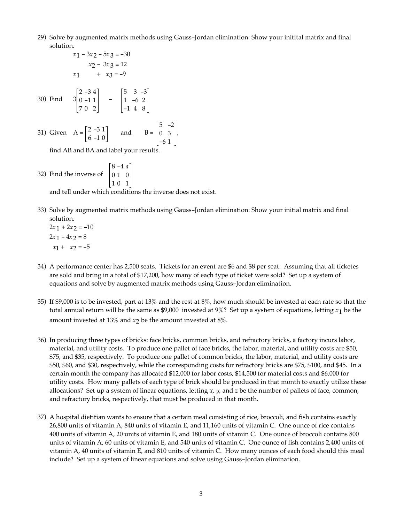- 29) Solve by augmented matrix methods using Gauss-Jordan elimination: Show your initital matrix and final solution.
- $x_1 3x_2 5x_3 = -30$  $x_2 - 3x_3 = 12$  $x_1 + x_3 = -9$ 30) Find 3 2 -3 4 0 -1 1 70 2 - 5 3 -3 1 -6 2 -1 4 8
- 31) Given  $A = \begin{bmatrix} 2 & -3 & 1 \\ 1 & 2 & 3 \end{bmatrix}$ 6 -1 0 and  $B =$ 5 -2 0 3 -6 1 ,

find AB and BA and label your results.

32) Find the inverse of 8 -4 *a* 01 0 10 1

and tell under which conditions the inverse does not exist.

- 33) Solve by augmented matrix methods using Gauss-Jordan elimination: Show your initial matrix and final solution.
	- $2x_1 + 2x_2 = -10$  $2x_1 - 4x_2 = 8$  $x_1 + x_2 = -5$
- 34) A performance center has 2,500 seats. Tickets for an event are \$6 and \$8 per seat. Assuming that all ticketes are sold and bring in a total of \$17,200, how many of each type of ticket were sold? Set up a system of equations and solve by augmented matrix methods using Gauss-Jordan elimination.
- 35) If \$9,000 is to be invested, part at 13% and the rest at 8%, how much should be invested at each rate so that the total annual return will be the same as \$9,000 invested at 9%? Set up a system of equations, letting *x*1 be the amount invested at 13% and  $x_2$  be the amount invested at 8%.
- 36) In producing three types of bricks: face bricks, common bricks, and refractory bricks, a factory incurs labor, material, and utility costs. To produce one pallet of face bricks, the labor, material, and utility costs are \$50, \$75, and \$35, respectively. To produce one pallet of common bricks, the labor, material, and utility costs are \$50, \$60, and \$30, respectively, while the corresponding costs for refractory bricks are \$75, \$100, and \$45. In a certain month the company has allocated \$12,000 for labor costs, \$14,500 for material costs and \$6,000 for utility costs. How many pallets of each type of brick should be produced in that month to exactly utilize these allocations? Set up a system of linear equations, letting *x*, *y*, and *z* be the number of pallets of face, common, and refractory bricks, respectively, that must be produced in that month.
- 37) A hospital dietitian wants to ensure that a certain meal consisting of rice, broccoli, and fish contains exactly 26,800 units of vitamin A, 840 units of vitamin E, and 11,160 units of vitamin C. One ounce of rice contains 400 units of vitamin A, 20 units of vitamin E, and 180 units of vitamin C. One ounce of broccoli contains 800 units of vitamin A, 60 units of vitamin E, and 540 units of vitamin C. One ounce of fish contains 2,400 units of vitamin A, 40 units of vitamin E, and 810 units of vitamin C. How many ounces of each food should this meal include? Set up a system of linear equations and solve using Gauss-Jordan elimination.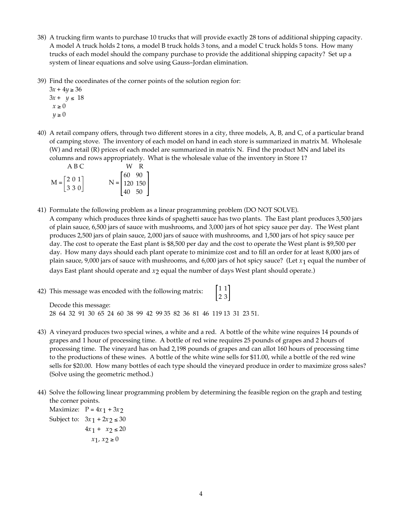- 38) A trucking firm wants to purchase 10 trucks that will provide exactly 28 tons of additional shipping capacity. A model A truck holds 2 tons, a model B truck holds 3 tons, and a model C truck holds 5 tons. How many trucks of each model should the company purchase to provide the additional shipping capacity? Set up a system of linear equations and solve using Gauss-Jordan elimination.
- 39) Find the coordinates of the corner points of the solution region for:

3*x* + 4*y* ≥ 36  $3x + y \le 18$  $x \geq 0$  $y \geq 0$ 

40) A retail company offers, through two different stores in a city, three models, A, B, and C, of a particular brand of camping stove. The inventory of each model on hand in each store is summarized in matrix M. Wholesale (W) and retail (R) prices of each model are summarized in matrix N. Find the product MN and label its columns and rows appropriately. What is the wholesale value of the inventory in Store 1?

|                                                            | A B C |  | W R                                                                 |
|------------------------------------------------------------|-------|--|---------------------------------------------------------------------|
| $M = \begin{bmatrix} 2 & 0 & 1 \\ 3 & 3 & 0 \end{bmatrix}$ |       |  | $N = \begin{bmatrix} 60 & 90 \\ 120 & 150 \\ 40 & 50 \end{bmatrix}$ |
|                                                            |       |  |                                                                     |
|                                                            |       |  |                                                                     |

- 41) Formulate the following problem as a linear programming problem (DO NOT SOLVE). A company which produces three kinds of spaghetti sauce has two plants. The East plant produces 3,500 jars of plain sauce, 6,500 jars of sauce with mushrooms, and 3,000 jars of hot spicy sauce per day. The West plant produces 2,500 jars of plain sauce, 2,000 jars of sauce with mushrooms, and 1,500 jars of hot spicy sauce per day. The cost to operate the East plant is \$8,500 per day and the cost to operate the West plant is \$9,500 per day. How many days should each plant operate to minimize cost and to fill an order for at least 8,000 jars of plain sauce, 9,000 jars of sauce with mushrooms, and 6,000 jars of hot spicy sauce? (Let *x*1 equal the number of days East plant should operate and  $x_2$  equal the number of days West plant should operate.)
- 42) This message was encoded with the following matrix:  $\begin{bmatrix} 1 & 1 \\ 2 & 3 \end{bmatrix}$ Decode this message: 28 64 32 91 30 65 24 60 38 99 42 99 35 82 36 81 46 119 13 31 23 51.
- 43) A vineyard produces two special wines, a white and a red. A bottle of the white wine requires 14 pounds of grapes and 1 hour of processing time. A bottle of red wine requires 25 pounds of grapes and 2 hours of processing time. The vineyard has on had 2,198 pounds of grapes and can allot 160 hours of processing time to the productions of these wines. A bottle of the white wine sells for \$11.00, while a bottle of the red wine sells for \$20.00. How many bottles of each type should the vineyard produce in order to maximize gross sales? (Solve using the geometric method.)
- 44) Solve the following linear programming problem by determining the feasible region on the graph and testing the corner points.

Maximize:  $P = 4x_1 + 3x_2$ Subject to:  $3x_1 + 2x_2$  ≤ 30  $4x_1 + x_2 \leq 20$ *x*<sub>1</sub>, *x*<sub>2</sub> ≥ 0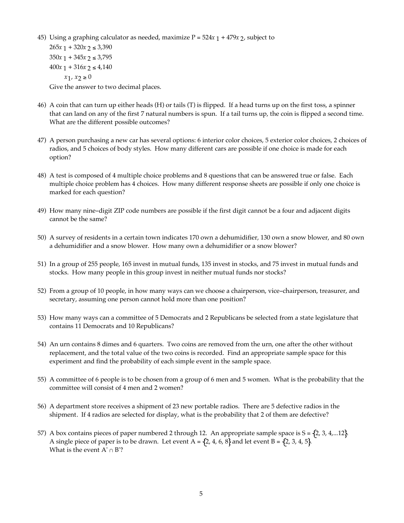45) Using a graphing calculator as needed, maximize  $P = 524x + 479x + 2$ , subject to

 $265x + 320x + 2 \leq 3,390$  $350x + 345x + 2 \leq 3,795$  $400x + 316x + 2 \le 4,140$ *x*1, *x*2 ≥ 0 Give the answer to two decimal places.

- 46) A coin that can turn up either heads (H) or tails (T) is flipped. If a head turns up on the first toss, a spinner that can land on any of the first 7 natural numbers is spun. If a tail turns up, the coin is flipped a second time. What are the different possible outcomes?
- 47) A person purchasing a new car has several options: 6 interior color choices, 5 exterior color choices, 2 choices of radios, and 5 choices of body styles. How many different cars are possible if one choice is made for each option?
- 48) A test is composed of 4 multiple choice problems and 8 questions that can be answered true or false. Each multiple choice problem has 4 choices. How many different response sheets are possible if only one choice is marked for each question?
- 49) How many nine-digit ZIP code numbers are possible if the first digit cannot be a four and adjacent digits cannot be the same?
- 50) A survey of residents in a certain town indicates 170 own a dehumidifier, 130 own a snow blower, and 80 own a dehumidifier and a snow blower. How many own a dehumidifier or a snow blower?
- 51) In a group of 255 people, 165 invest in mutual funds, 135 invest in stocks, and 75 invest in mutual funds and stocks. How many people in this group invest in neither mutual funds nor stocks?
- 52) From a group of 10 people, in how many ways can we choose a chairperson, vice-chairperson, treasurer, and secretary, assuming one person cannot hold more than one position?
- 53) How many ways can a committee of 5 Democrats and 2 Republicans be selected from a state legislature that contains 11 Democrats and 10 Republicans?
- 54) An urn contains 8 dimes and 6 quarters. Two coins are removed from the urn, one after the other without replacement, and the total value of the two coins is recorded. Find an appropriate sample space for this experiment and find the probability of each simple event in the sample space.
- 55) A committee of 6 people is to be chosen from a group of 6 men and 5 women. What is the probability that the committee will consist of 4 men and 2 women?
- 56) A department store receives a shipment of 23 new portable radios. There are 5 defective radios in the shipment. If 4 radios are selected for display, what is the probability that 2 of them are defective?
- 57) A box contains pieces of paper numbered 2 through 12. An appropriate sample space is  $S = \{2, 3, 4,...12\}$ . A single piece of paper is to be drawn. Let event A =  $\{2, 4, 6, 8\}$  and let event B =  $\{2, 3, 4, 5\}$ . What is the event  $A' \cap B$ ?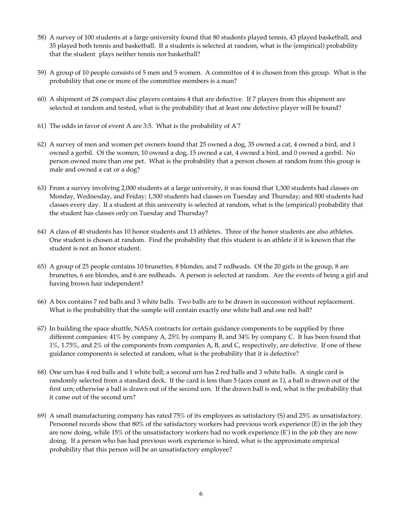- 58) A survey of 100 students at a large university found that 80 students played tennis, 43 played basketball, and 35 played both tennis and basketball. If a students is selected at random, what is the (empirical) probability that the student plays neither tennis nor basketball?
- 59) A group of 10 people consists of 5 men and 5 women. A committee of 4 is chosen from this group. What is the probability that one or more of the committee members is a man?
- 60) A shipment of 28 compact disc players contains 4 that are defective. If 7 players from this shipment are selected at random and tested, what is the probability that at least one defective player will be found?
- 61) The odds in favor of event A are 3:5. What is the probability of A'?
- 62) A survey of men and women pet owners found that 25 owned a dog, 35 owned a cat, 4 owned a bird, and 1 owned a gerbil. Of the women, 10 owned a dog, 15 owned a cat, 4 owned a bird, and 0 owned a gerbil. No person owned more than one pet. What is the probability that a person chosen at random from this group is male and owned a cat or a dog?
- 63) From a survey involving 2,000 students at a large university, it was found that 1,300 students had classes on Monday, Wednesday, and Friday; 1,500 students had classes on Tuesday and Thursday; and 800 students had classes every day. If a student at this university is selected at random, what is the (empirical) probability that the student has classes only on Tuesday and Thursday?
- 64) A class of 40 students has 10 honor students and 13 athletes. Three of the honor students are also athletes. One student is chosen at random. Find the probability that this student is an athlete if it is known that the student is not an honor student.
- 65) A group of 25 people contains 10 brunettes, 8 blondes, and 7 redheads. Of the 20 girls in the group, 8 are brunettes, 6 are blondes, and 6 are redheads. A person is selected at random. Are the events of being a girl and having brown hair independent?
- 66) A box contains 7 red balls and 3 white balls. Two balls are to be drawn in succession without replacement. What is the probability that the sample will contain exactly one white ball and one red ball?
- 67) In building the space shuttle, NASA contracts for certain guidance components to be supplied by three different companies: 41% by company A, 25% by company B, and 34% by company C. It has been found that 1%, 1.75%, and 2% of the components from companies A, B, and C, respectively, are defective. If one of these guidance components is selected at random, what is the probability that it is defective?
- 68) One urn has 4 red balls and 1 white ball; a second urn has 2 red balls and 3 white balls. A single card is randomly selected from a standard deck. If the card is less than 5 (aces count as 1), a ball is drawn out of the first urn; otherwise a ball is drawn out of the second urn. If the drawn ball is red, what is the probability that it came out of the second urn?
- 69) A small manufacturing company has rated 75% of its employees as satisfactory (S) and 25% as unsatisfactory. Personnel records show that 80% of the satisfactory workers had previous work experience (E) in the job they are now doing, while 15% of the unsatisfactory workers had no work experience (E') in the job they are now doing. If a person who has had previous work experience is hired, what is the approximate empirical probability that this person will be an unsatisfactory employee?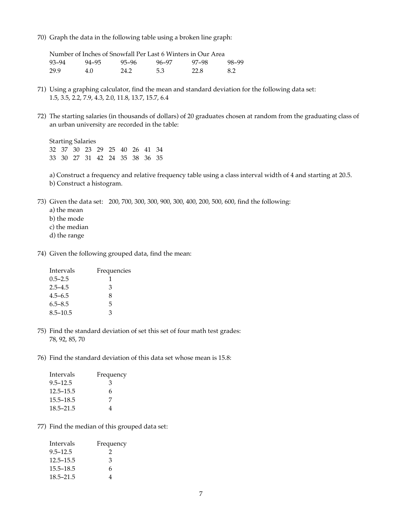70) Graph the data in the following table using a broken line graph:

| Number of Inches of Snowfall Per Last 6 Winters in Our Area |       |       |       |       |       |  |
|-------------------------------------------------------------|-------|-------|-------|-------|-------|--|
| 93–94                                                       | 94–95 | 95-96 | 96–97 | 97–98 | 98–99 |  |
| 29.9                                                        | 4.0   | 24.2  | 5.3   | 22.8  | 8.2   |  |

- 71) Using a graphing calculator, find the mean and standard deviation for the following data set: 1.5, 3.5, 2.2, 7.9, 4.3, 2.0, 11.8, 13.7, 15.7, 6.4
- 72) The starting salaries (in thousands of dollars) of 20 graduates chosen at random from the graduating class of an urban university are recorded in the table:

Starting Salaries 32 37 30 23 29 25 40 26 41 34 33 30 27 31 42 24 35 38 36 35

a) Construct a frequency and relative frequency table using a class interval width of 4 and starting at 20.5. b) Construct a histogram.

- 73) Given the data set: 200, 700, 300, 300, 900, 300, 400, 200, 500, 600, find the following:
	- a) the mean
	- b) the mode
	- c) the median
	- d) the range
- 74) Given the following grouped data, find the mean:

| Intervals    | Frequencies |  |  |
|--------------|-------------|--|--|
| $0.5 - 2.5$  | 1           |  |  |
| $2.5 - 4.5$  | 3           |  |  |
| $4.5 - 6.5$  | 8           |  |  |
| $6.5 - 8.5$  | 5           |  |  |
| $8.5 - 10.5$ | З           |  |  |

- 75) Find the standard deviation of set this set of four math test grades: 78, 92, 85, 70
- 76) Find the standard deviation of this data set whose mean is 15.8:

| Frequency |
|-----------|
| 3         |
| 6         |
| 7         |
| 4         |
|           |

77) Find the median of this grouped data set:

| Intervals     | Frequency     |
|---------------|---------------|
| $9.5 - 12.5$  | $\mathcal{L}$ |
| $12.5 - 15.5$ | 3             |
| $15.5 - 18.5$ | 6             |
| $18.5 - 21.5$ | 4             |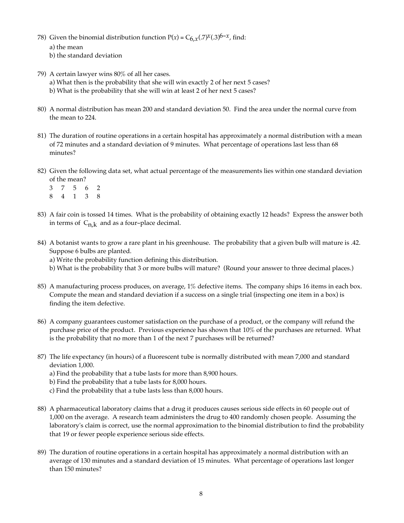- 78) Given the binomial distribution function  $P(x) = C_{6,x}$  (.7)<sup>*x*</sup>(.3)<sup>6-*x*</sup>, find:
	- a) the mean
	- b) the standard deviation
- 79) A certain lawyer wins 80% of all her cases.
	- a) What then is the probability that she will win exactly 2 of her next 5 cases?
	- b) What is the probability that she will win at least 2 of her next 5 cases?
- 80) A normal distribution has mean 200 and standard deviation 50. Find the area under the normal curve from the mean to 224.
- 81) The duration of routine operations in a certain hospital has approximately a normal distribution with a mean of 72 minutes and a standard deviation of 9 minutes. What percentage of operations last less than 68 minutes?
- 82) Given the following data set, what actual percentage of the measurements lies within one standard deviation of the mean?
	- 37562 84138
- 83) A fair coin is tossed 14 times. What is the probability of obtaining exactly 12 heads? Express the answer both in terms of  $C_{n,k}$  and as a four-place decimal.
- 84) A botanist wants to grow a rare plant in his greenhouse. The probability that a given bulb will mature is .42. Suppose 6 bulbs are planted.

a) Write the probability function defining this distribution.

- b) What is the probability that 3 or more bulbs will mature? (Round your answer to three decimal places.)
- 85) A manufacturing process produces, on average, 1% defective items. The company ships 16 items in each box. Compute the mean and standard deviation if a success on a single trial (inspecting one item in a box) is finding the item defective.
- 86) A company guarantees customer satisfaction on the purchase of a product, or the company will refund the purchase price of the product. Previous experience has shown that 10% of the purchases are returned. What is the probability that no more than 1 of the next 7 purchases will be returned?
- 87) The life expectancy (in hours) of a fluorescent tube is normally distributed with mean 7,000 and standard deviation 1,000.
	- a) Find the probability that a tube lasts for more than 8,900 hours.
	- b) Find the probability that a tube lasts for 8,000 hours.
	- c) Find the probability that a tube lasts less than 8,000 hours.
- 88) A pharmaceutical laboratory claims that a drug it produces causes serious side effects in 60 people out of 1,000 on the average. A research team administers the drug to 400 randomly chosen people. Assuming the laboratory's claim is correct, use the normal approximation to the binomial distribution to find the probability that 19 or fewer people experience serious side effects.
- 89) The duration of routine operations in a certain hospital has approximately a normal distribution with an average of 130 minutes and a standard deviation of 15 minutes. What percentage of operations last longer than 150 minutes?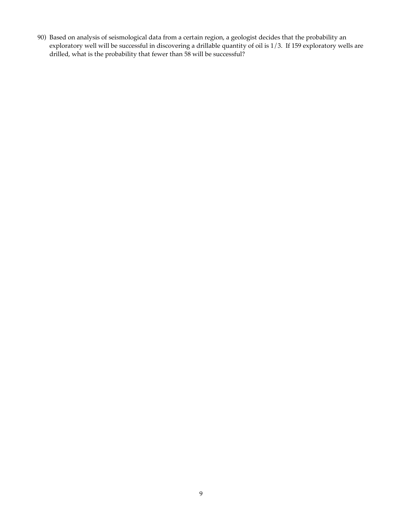90) Based on analysis of seismological data from a certain region, a geologist decides that the probability an exploratory well will be successful in discovering a drillable quantity of oil is 1/3. If 159 exploratory wells are drilled, what is the probability that fewer than 58 will be successful?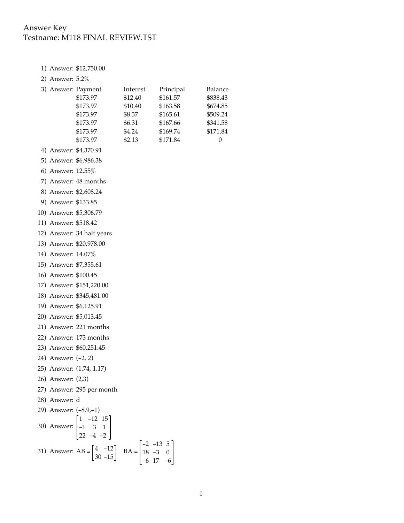## Answer Key Testname: M118 FINAL REVIEW.TST

- 1) Answer: \$12,750.00
- 2) Answer: 5.2%

| 3) Answer: Payment |          | Interest | Principal | Balance  |
|--------------------|----------|----------|-----------|----------|
|                    | \$173.97 | \$12.40  | \$161.57  | \$838.43 |
|                    | \$173.97 | \$10.40  | \$163.58  | \$674.85 |
|                    | \$173.97 | \$8.37   | \$165.61  | \$509.24 |
|                    | \$173.97 | \$6.31   | \$167.66  | \$341.58 |
|                    | \$173.97 | \$4.24   | \$169.74  | \$171.84 |
|                    | \$173.97 | \$2.13   | \$171.84  | $\theta$ |

- 4) Answer: \$4,370.91
- 5) Answer: \$6,986.38
- 6) Answer: 12.55%
- 7) Answer: 48 months
- 8) Answer: \$2,608.24
- 9) Answer: \$133.85
- 10) Answer: \$5,306.79
- 11) Answer: \$518.42
- 12) Answer: 34 half years
- 13) Answer: \$20,978.00
- 14) Answer: 14.07%
- 15) Answer: \$7,355.61
- 16) Answer: \$100.45
- 17) Answer: \$151,220.00
- 18) Answer: \$345,481.00
- 19) Answer: \$6,125.91
- 20) Answer: \$5,013.45
- 21) Answer: 221 months
- 22) Answer: 173 months
- 23) Answer: \$60,251.45
- 24) Answer: (-2, 2)
- 25) Answer: (1.74, 1.17)
- 26) Answer: (2,3)
- 27) Answer: 295 per month
- 28) Answer: d
- 29) Answer: (-8,9,-1) 1 -12 15

30) Answer: 
$$
\begin{bmatrix} -1 & 3 & 1 \\ 22 & -4 & -2 \end{bmatrix}
$$
  
31) Answer: AB =  $\begin{bmatrix} 4 & -12 \\ 30 & -15 \end{bmatrix}$  BA =  $\begin{bmatrix} -2 & -13 & 5 \\ 18 & -3 & 0 \\ -6 & 17 & -6 \end{bmatrix}$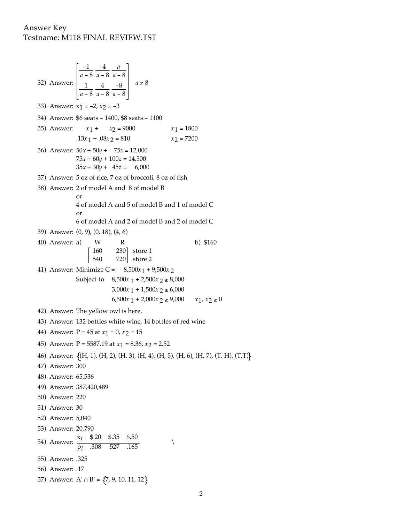## Answer Key Testname: M118 FINAL REVIEW.TST

32) Answer: -1 *a* - 8 -4 *a* - 8 *a a* - 8 1 *a* - 8 4 *a* - 8 -8 *a* - 8 *a* ≠ 8 33) Answer:  $x_1 = -2$ ,  $x_2 = -3$ 34) Answer: \$6 seats - 1400, \$8 seats - 1100 35) Answer: *x*1 + *x*2 = 9000 *x*1 = 1800  $.13x_1 + .08x_2 = 810$   $x_2 = 7200$ 36) Answer: 50*x* + 50*y* + 75*z* = 12,000  $75x + 60y + 100z = 14,500$  $35x + 30y + 45z = 6,000$ 37) Answer: 5 oz of rice, 7 oz of broccoli, 8 oz of fish 38) Answer: 2 of model A and 8 of model B or 4 of model A and 5 of model B and 1 of model C or 6 of model A and 2 of model B and 2 of model C 39) Answer: (0, 9), (0, 18), (4, 6) 40) Answer: a) W R b) \$160 160 540 720 store 2 230] store 1 41) Answer: Minimize C =  $8,500x_1 + 9,500x_2$ Subject to  $8,500x_1 + 2,500x_2 \ge 8,000$  $3,000x_1 + 1,500x_2 \ge 6,000$ 6,500*x* 1 + 2,000*x* 2 ≥ 9,000 *x*1, *x*2 ≥ 0 42) Answer: The yellow owl is here. 43) Answer: 132 bottles white wine, 14 bottles of red wine 44) Answer:  $P = 45$  at  $x_1 = 0$ ,  $x_2 = 15$ 45) Answer:  $P = 5587.19$  at  $x_1 = 8.36$ ,  $x_2 = 2.52$ 46) Answer: (H, 1), (H, 2), (H, 3), (H, 4), (H, 5), (H, 6), (H, 7), (T, H), (T,T) 47) Answer: 300 48) Answer: 65,536 49) Answer: 387,420,489 50) Answer: 220 51) Answer: 30 52) Answer: 5,040 53) Answer: 20,790 54) Answer:  $\frac{x_i}{p_i}$   $\frac{$20}{$35}$   $\frac{$35}{$527}$   $\frac{$50}{$165}$ 55) Answer: .325 56) Answer: .17 57) Answer: A'  $\cap$  B' = {7, 9, 10, 11, 12}